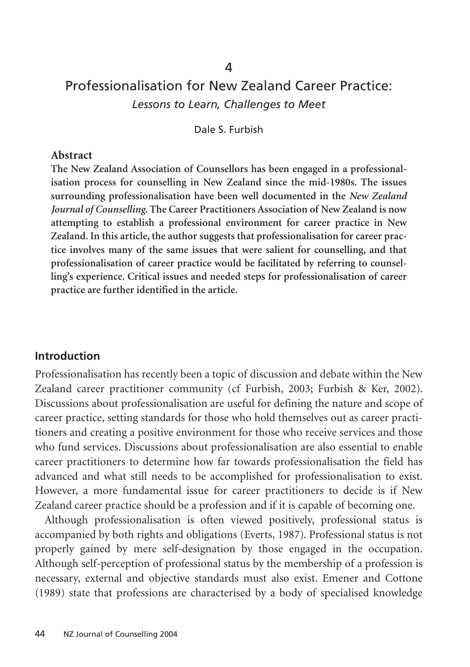# Professionalisation for New Zealand Career Practice: *Lessons to Learn, Challenges to Meet*

Dale S. Furbish

#### **Abstract**

**The New Zealand Association of Counsellors has been engaged in a professionalisation process for counselling in New Zealand since the mid-1980s. The issues surrounding professionalisation have been well documented in the** *New Zealand Journal of Counselling***. The Career Practitioners Association of New Zealand is now attempting to establish a professional environment for career practice in New Zealand. In this article, the author suggests that professionalisation for career practice involves many of the same issues that were salient for counselling, and that professionalisation of career practice would be facilitated by referring to counselling's experience. Critical issues and needed steps for professionalisation of career practice are further identified in the article.**

#### **Introduction**

Professionalisation has recently been a topic of discussion and debate within the New Zealand career practitioner community (cf Furbish, 2003; Furbish & Ker, 2002). Discussions about professionalisation are useful for defining the nature and scope of career practice, setting standards for those who hold themselves out as career practitioners and creating a positive environment for those who receive services and those who fund services. Discussions about professionalisation are also essential to enable career practitioners to determine how far towards professionalisation the field has advanced and what still needs to be accomplished for professionalisation to exist. However, a more fundamental issue for career practitioners to decide is if New Zealand career practice should be a profession and if it is capable of becoming one.

Although professionalisation is often viewed positively, professional status is accompanied by both rights and obligations (Everts, 1987). Professional status is not properly gained by mere self-designation by those engaged in the occupation. Although self-perception of professional status by the membership of a profession is necessary, external and objective standards must also exist. Emener and Cottone (1989) state that professions are characterised by a body of specialised knowledge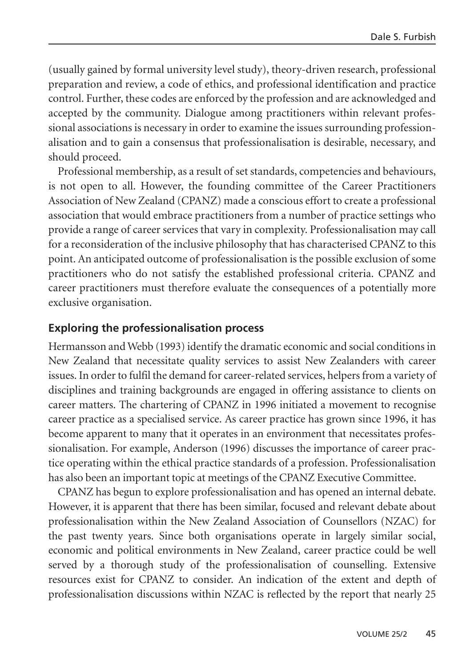(usually gained by formal university level study), theory-driven research, professional preparation and review, a code of ethics, and professional identification and practice control. Further, these codes are enforced by the profession and are acknowledged and accepted by the community. Dialogue among practitioners within relevant professional associations is necessary in order to examine the issues surrounding professionalisation and to gain a consensus that professionalisation is desirable, necessary, and should proceed.

Professional membership, as a result of set standards, competencies and behaviours, is not open to all. However, the founding committee of the Career Practitioners Association of New Zealand (CPANZ) made a conscious effort to create a professional association that would embrace practitioners from a number of practice settings who provide a range of career services that vary in complexity. Professionalisation may call for a reconsideration of the inclusive philosophy that has characterised CPANZ to this point. An anticipated outcome of professionalisation is the possible exclusion of some practitioners who do not satisfy the established professional criteria. CPANZ and career practitioners must therefore evaluate the consequences of a potentially more exclusive organisation.

## **Exploring the professionalisation process**

Hermansson and Webb (1993) identify the dramatic economic and social conditions in New Zealand that necessitate quality services to assist New Zealanders with career issues. In order to fulfil the demand for career-related services, helpers from a variety of disciplines and training backgrounds are engaged in offering assistance to clients on career matters. The chartering of CPANZ in 1996 initiated a movement to recognise career practice as a specialised service. As career practice has grown since 1996, it has become apparent to many that it operates in an environment that necessitates professionalisation. For example, Anderson (1996) discusses the importance of career practice operating within the ethical practice standards of a profession. Professionalisation has also been an important topic at meetings of the CPANZ Executive Committee.

CPANZ has begun to explore professionalisation and has opened an internal debate. However, it is apparent that there has been similar, focused and relevant debate about professionalisation within the New Zealand Association of Counsellors (NZAC) for the past twenty years. Since both organisations operate in largely similar social, economic and political environments in New Zealand, career practice could be well served by a thorough study of the professionalisation of counselling. Extensive resources exist for CPANZ to consider. An indication of the extent and depth of professionalisation discussions within NZAC is reflected by the report that nearly 25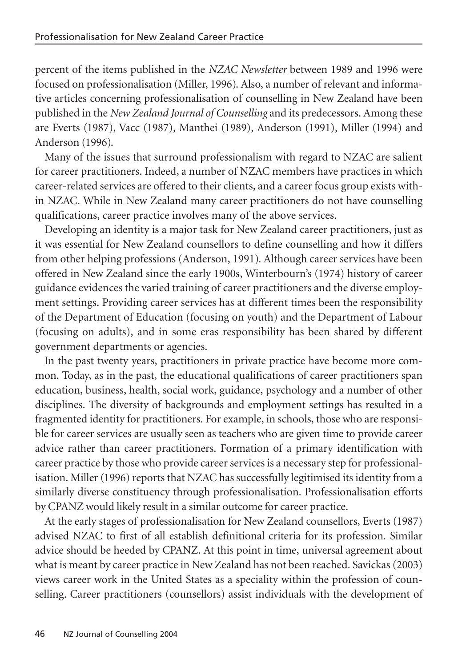percent of the items published in the *NZAC Newsletter* between 1989 and 1996 were focused on professionalisation (Miller, 1996). Also, a number of relevant and informative articles concerning professionalisation of counselling in New Zealand have been published in the *New Zealand Journal of Counselling* and its predecessors. Among these are Everts (1987), Vacc (1987), Manthei (1989), Anderson (1991), Miller (1994) and Anderson (1996).

Many of the issues that surround professionalism with regard to NZAC are salient for career practitioners. Indeed, a number of NZAC members have practices in which career-related services are offered to their clients, and a career focus group exists within NZAC. While in New Zealand many career practitioners do not have counselling qualifications, career practice involves many of the above services.

Developing an identity is a major task for New Zealand career practitioners, just as it was essential for New Zealand counsellors to define counselling and how it differs from other helping professions (Anderson, 1991). Although career services have been offered in New Zealand since the early 1900s, Winterbourn's (1974) history of career guidance evidences the varied training of career practitioners and the diverse employment settings. Providing career services has at different times been the responsibility of the Department of Education (focusing on youth) and the Department of Labour (focusing on adults), and in some eras responsibility has been shared by different government departments or agencies.

In the past twenty years, practitioners in private practice have become more common. Today, as in the past, the educational qualifications of career practitioners span education, business, health, social work, guidance, psychology and a number of other disciplines. The diversity of backgrounds and employment settings has resulted in a fragmented identity for practitioners. For example, in schools, those who are responsible for career services are usually seen as teachers who are given time to provide career advice rather than career practitioners. Formation of a primary identification with career practice by those who provide career services is a necessary step for professionalisation. Miller (1996) reports that NZAC has successfully legitimised its identity from a similarly diverse constituency through professionalisation. Professionalisation efforts by CPANZ would likely result in a similar outcome for career practice.

At the early stages of professionalisation for New Zealand counsellors, Everts (1987) advised NZAC to first of all establish definitional criteria for its profession. Similar advice should be heeded by CPANZ. At this point in time, universal agreement about what is meant by career practice in New Zealand has not been reached. Savickas (2003) views career work in the United States as a speciality within the profession of counselling. Career practitioners (counsellors) assist individuals with the development of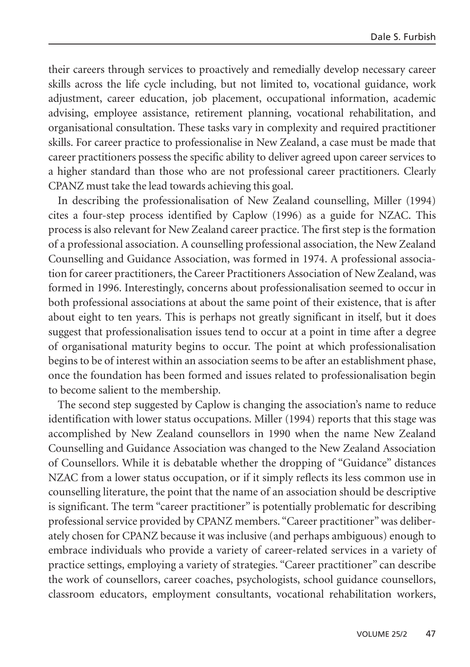their careers through services to proactively and remedially develop necessary career skills across the life cycle including, but not limited to, vocational guidance, work adjustment, career education, job placement, occupational information, academic advising, employee assistance, retirement planning, vocational rehabilitation, and organisational consultation. These tasks vary in complexity and required practitioner skills. For career practice to professionalise in New Zealand, a case must be made that career practitioners possess the specific ability to deliver agreed upon career services to a higher standard than those who are not professional career practitioners. Clearly CPANZ must take the lead towards achieving this goal.

In describing the professionalisation of New Zealand counselling, Miller (1994) cites a four-step process identified by Caplow (1996) as a guide for NZAC. This process is also relevant for New Zealand career practice. The first step is the formation of a professional association. A counselling professional association, the New Zealand Counselling and Guidance Association, was formed in 1974. A professional association for career practitioners, the Career Practitioners Association of New Zealand, was formed in 1996. Interestingly, concerns about professionalisation seemed to occur in both professional associations at about the same point of their existence, that is after about eight to ten years. This is perhaps not greatly significant in itself, but it does suggest that professionalisation issues tend to occur at a point in time after a degree of organisational maturity begins to occur. The point at which professionalisation begins to be of interest within an association seems to be after an establishment phase, once the foundation has been formed and issues related to professionalisation begin to become salient to the membership.

The second step suggested by Caplow is changing the association's name to reduce identification with lower status occupations. Miller (1994) reports that this stage was accomplished by New Zealand counsellors in 1990 when the name New Zealand Counselling and Guidance Association was changed to the New Zealand Association of Counsellors. While it is debatable whether the dropping of "Guidance" distances NZAC from a lower status occupation, or if it simply reflects its less common use in counselling literature, the point that the name of an association should be descriptive is significant. The term "career practitioner" is potentially problematic for describing professional service provided by CPANZ members. "Career practitioner" was deliberately chosen for CPANZ because it was inclusive (and perhaps ambiguous) enough to embrace individuals who provide a variety of career-related services in a variety of practice settings, employing a variety of strategies. "Career practitioner" can describe the work of counsellors, career coaches, psychologists, school guidance counsellors, classroom educators, employment consultants, vocational rehabilitation workers,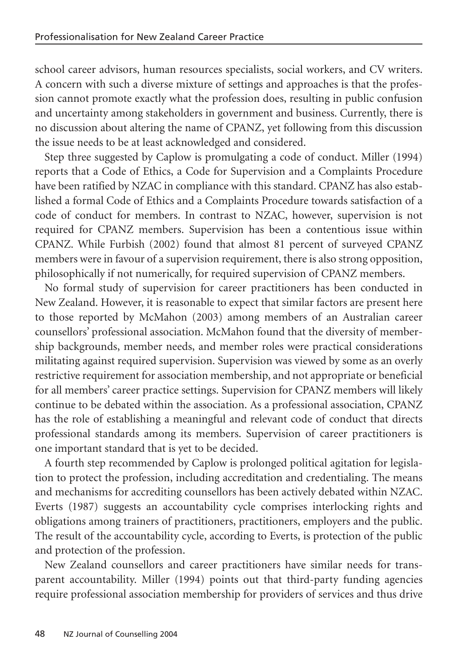school career advisors, human resources specialists, social workers, and CV writers. A concern with such a diverse mixture of settings and approaches is that the profession cannot promote exactly what the profession does, resulting in public confusion and uncertainty among stakeholders in government and business. Currently, there is no discussion about altering the name of CPANZ, yet following from this discussion the issue needs to be at least acknowledged and considered.

Step three suggested by Caplow is promulgating a code of conduct. Miller (1994) reports that a Code of Ethics, a Code for Supervision and a Complaints Procedure have been ratified by NZAC in compliance with this standard. CPANZ has also established a formal Code of Ethics and a Complaints Procedure towards satisfaction of a code of conduct for members. In contrast to NZAC, however, supervision is not required for CPANZ members. Supervision has been a contentious issue within CPANZ. While Furbish (2002) found that almost 81 percent of surveyed CPANZ members were in favour of a supervision requirement, there is also strong opposition, philosophically if not numerically, for required supervision of CPANZ members.

No formal study of supervision for career practitioners has been conducted in New Zealand. However, it is reasonable to expect that similar factors are present here to those reported by McMahon (2003) among members of an Australian career counsellors' professional association. McMahon found that the diversity of membership backgrounds, member needs, and member roles were practical considerations militating against required supervision. Supervision was viewed by some as an overly restrictive requirement for association membership, and not appropriate or beneficial for all members' career practice settings. Supervision for CPANZ members will likely continue to be debated within the association. As a professional association, CPANZ has the role of establishing a meaningful and relevant code of conduct that directs professional standards among its members. Supervision of career practitioners is one important standard that is yet to be decided.

A fourth step recommended by Caplow is prolonged political agitation for legislation to protect the profession, including accreditation and credentialing. The means and mechanisms for accrediting counsellors has been actively debated within NZAC. Everts (1987) suggests an accountability cycle comprises interlocking rights and obligations among trainers of practitioners, practitioners, employers and the public. The result of the accountability cycle, according to Everts, is protection of the public and protection of the profession.

New Zealand counsellors and career practitioners have similar needs for transparent accountability. Miller (1994) points out that third-party funding agencies require professional association membership for providers of services and thus drive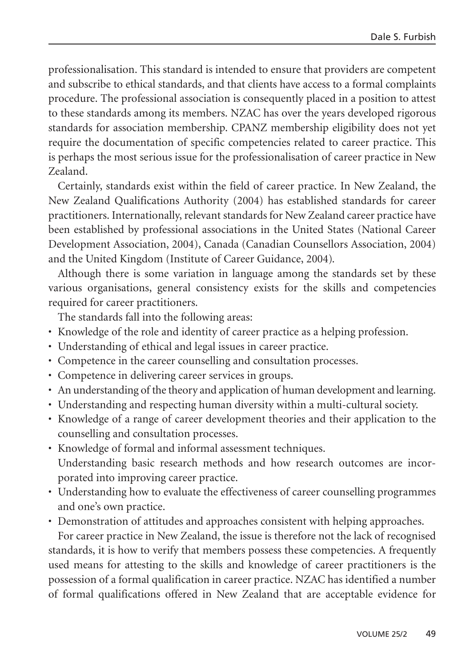professionalisation. This standard is intended to ensure that providers are competent and subscribe to ethical standards, and that clients have access to a formal complaints procedure. The professional association is consequently placed in a position to attest to these standards among its members. NZAC has over the years developed rigorous standards for association membership. CPANZ membership eligibility does not yet require the documentation of specific competencies related to career practice. This is perhaps the most serious issue for the professionalisation of career practice in New Zealand.

Certainly, standards exist within the field of career practice. In New Zealand, the New Zealand Qualifications Authority (2004) has established standards for career practitioners. Internationally, relevant standards for New Zealand career practice have been established by professional associations in the United States (National Career Development Association, 2004), Canada (Canadian Counsellors Association, 2004) and the United Kingdom (Institute of Career Guidance, 2004).

Although there is some variation in language among the standards set by these various organisations, general consistency exists for the skills and competencies required for career practitioners.

The standards fall into the following areas:

- Knowledge of the role and identity of career practice as a helping profession.
- Understanding of ethical and legal issues in career practice.
- Competence in the career counselling and consultation processes.
- Competence in delivering career services in groups.
- An understanding of the theory and application of human development and learning.
- Understanding and respecting human diversity within a multi-cultural society.
- Knowledge of a range of career development theories and their application to the counselling and consultation processes.
- Knowledge of formal and informal assessment techniques. Understanding basic research methods and how research outcomes are incorporated into improving career practice.
- Understanding how to evaluate the effectiveness of career counselling programmes and one's own practice.
- Demonstration of attitudes and approaches consistent with helping approaches.

For career practice in New Zealand, the issue is therefore not the lack of recognised standards, it is how to verify that members possess these competencies. A frequently used means for attesting to the skills and knowledge of career practitioners is the possession of a formal qualification in career practice. NZAC has identified a number of formal qualifications offered in New Zealand that are acceptable evidence for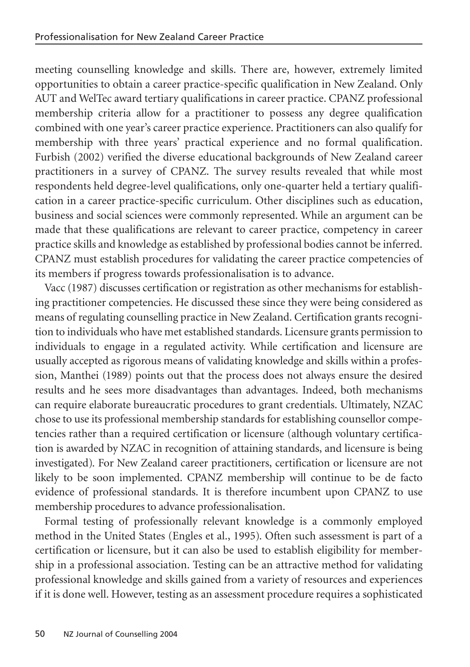meeting counselling knowledge and skills. There are, however, extremely limited opportunities to obtain a career practice-specific qualification in New Zealand. Only AUT and WelTec award tertiary qualifications in career practice. CPANZ professional membership criteria allow for a practitioner to possess any degree qualification combined with one year's career practice experience. Practitioners can also qualify for membership with three years' practical experience and no formal qualification. Furbish (2002) verified the diverse educational backgrounds of New Zealand career practitioners in a survey of CPANZ. The survey results revealed that while most respondents held degree-level qualifications, only one-quarter held a tertiary qualification in a career practice-specific curriculum. Other disciplines such as education, business and social sciences were commonly represented. While an argument can be made that these qualifications are relevant to career practice, competency in career practice skills and knowledge as established by professional bodies cannot be inferred. CPANZ must establish procedures for validating the career practice competencies of its members if progress towards professionalisation is to advance.

Vacc (1987) discusses certification or registration as other mechanisms for establishing practitioner competencies. He discussed these since they were being considered as means of regulating counselling practice in New Zealand. Certification grants recognition to individuals who have met established standards. Licensure grants permission to individuals to engage in a regulated activity. While certification and licensure are usually accepted as rigorous means of validating knowledge and skills within a profession, Manthei (1989) points out that the process does not always ensure the desired results and he sees more disadvantages than advantages. Indeed, both mechanisms can require elaborate bureaucratic procedures to grant credentials. Ultimately, NZAC chose to use its professional membership standards for establishing counsellor competencies rather than a required certification or licensure (although voluntary certification is awarded by NZAC in recognition of attaining standards, and licensure is being investigated). For New Zealand career practitioners, certification or licensure are not likely to be soon implemented. CPANZ membership will continue to be de facto evidence of professional standards. It is therefore incumbent upon CPANZ to use membership procedures to advance professionalisation.

Formal testing of professionally relevant knowledge is a commonly employed method in the United States (Engles et al., 1995). Often such assessment is part of a certification or licensure, but it can also be used to establish eligibility for membership in a professional association. Testing can be an attractive method for validating professional knowledge and skills gained from a variety of resources and experiences if it is done well. However, testing as an assessment procedure requires a sophisticated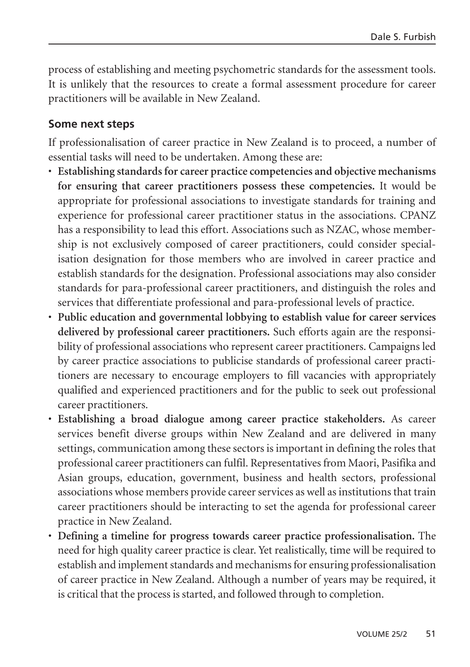process of establishing and meeting psychometric standards for the assessment tools. It is unlikely that the resources to create a formal assessment procedure for career practitioners will be available in New Zealand.

## **Some next steps**

If professionalisation of career practice in New Zealand is to proceed, a number of essential tasks will need to be undertaken. Among these are:

- **Establishing standards for career practice competencies and objective mechanisms for ensuring that career practitioners possess these competencies.** It would be appropriate for professional associations to investigate standards for training and experience for professional career practitioner status in the associations. CPANZ has a responsibility to lead this effort. Associations such as NZAC, whose membership is not exclusively composed of career practitioners, could consider specialisation designation for those members who are involved in career practice and establish standards for the designation. Professional associations may also consider standards for para-professional career practitioners, and distinguish the roles and services that differentiate professional and para-professional levels of practice.
- **Public education and governmental lobbying to establish value for career services delivered by professional career practitioners.** Such efforts again are the responsibility of professional associations who represent career practitioners. Campaigns led by career practice associations to publicise standards of professional career practitioners are necessary to encourage employers to fill vacancies with appropriately qualified and experienced practitioners and for the public to seek out professional career practitioners.
- **Establishing a broad dialogue among career practice stakeholders.** As career services benefit diverse groups within New Zealand and are delivered in many settings, communication among these sectors is important in defining the roles that professional career practitioners can fulfil. Representatives from Maori, Pasifika and Asian groups, education, government, business and health sectors, professional associations whose members provide career services as well as institutions that train career practitioners should be interacting to set the agenda for professional career practice in New Zealand.
- **Defining a timeline for progress towards career practice professionalisation.** The need for high quality career practice is clear. Yet realistically, time will be required to establish and implement standards and mechanisms for ensuring professionalisation of career practice in New Zealand. Although a number of years may be required, it is critical that the process is started, and followed through to completion.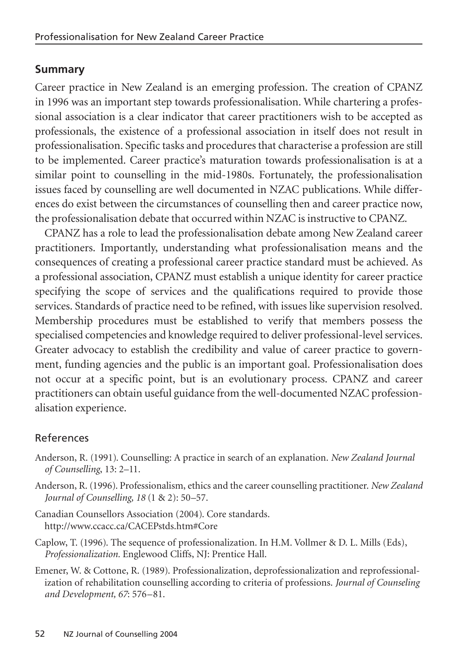## **Summary**

Career practice in New Zealand is an emerging profession. The creation of CPANZ in 1996 was an important step towards professionalisation. While chartering a professional association is a clear indicator that career practitioners wish to be accepted as professionals, the existence of a professional association in itself does not result in professionalisation. Specific tasks and procedures that characterise a profession are still to be implemented. Career practice's maturation towards professionalisation is at a similar point to counselling in the mid-1980s. Fortunately, the professionalisation issues faced by counselling are well documented in NZAC publications. While differences do exist between the circumstances of counselling then and career practice now, the professionalisation debate that occurred within NZAC is instructive to CPANZ.

CPANZ has a role to lead the professionalisation debate among New Zealand career practitioners. Importantly, understanding what professionalisation means and the consequences of creating a professional career practice standard must be achieved. As a professional association, CPANZ must establish a unique identity for career practice specifying the scope of services and the qualifications required to provide those services. Standards of practice need to be refined, with issues like supervision resolved. Membership procedures must be established to verify that members possess the specialised competencies and knowledge required to deliver professional-level services. Greater advocacy to establish the credibility and value of career practice to government, funding agencies and the public is an important goal. Professionalisation does not occur at a specific point, but is an evolutionary process. CPANZ and career practitioners can obtain useful guidance from the well-documented NZAC professionalisation experience.

#### References

- Anderson, R. (1991). Counselling: A practice in search of an explanation. *New Zealand Journal of Counselling*, 13: 2–11.
- Anderson, R. (1996). Professionalism, ethics and the career counselling practitioner. *New Zealand Journal of Counselling, 18* (1 & 2): 50–57.
- Canadian Counsellors Association (2004). Core standards. http://www.ccacc.ca/CACEPstds.htm#Core
- Caplow, T. (1996). The sequence of professionalization. In H.M. Vollmer & D. L. Mills (Eds), *Professionalization.* Englewood Cliffs, NJ: Prentice Hall.
- Emener, W. & Cottone, R. (1989). Professionalization, deprofessionalization and reprofessionalization of rehabilitation counselling according to criteria of professions. *Journal of Counseling and Development, 67*: 576–81.